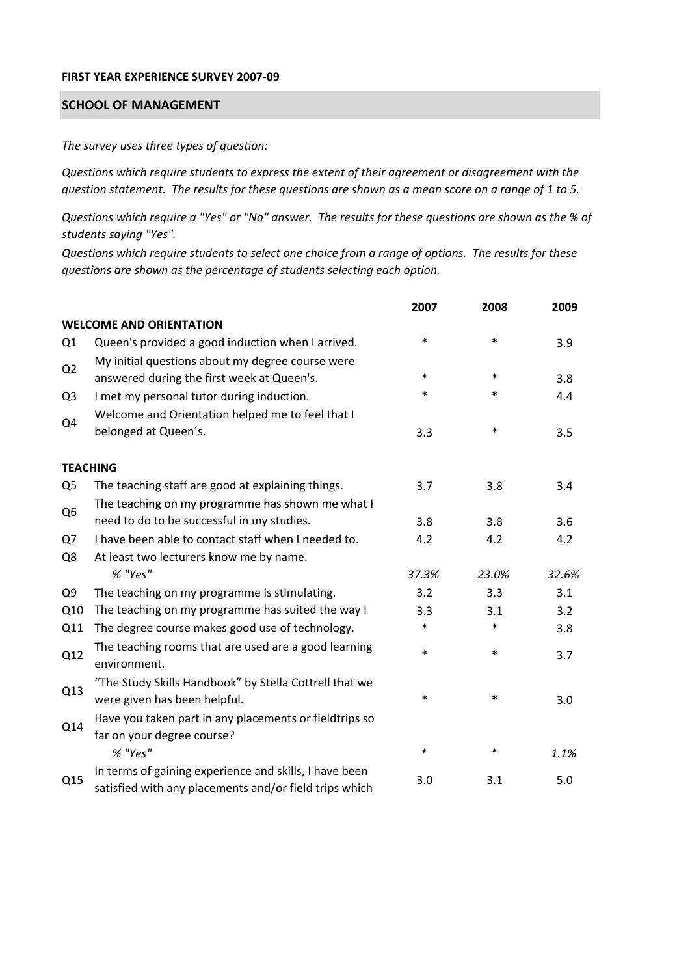## **FIRST YEAR EXPERIENCE SURVEY 2007‐09**

## **SCHOOL OF MANAGEMENT**

*The survey uses three types of question:*

*Questions which require students to express the extent of their agreement or disagreement with the* question statement. The results for these questions are shown as a mean score on a range of 1 to 5.

Questions which require a "Yes" or "No" answer. The results for these questions are shown as the % of *students saying "Yes".*

Questions which require students to select one choice from a range of options. The results for these *questions are shown as the percentage of students selecting each option.*

|                |                                                                                                                  | 2007   | 2008   | 2009  |
|----------------|------------------------------------------------------------------------------------------------------------------|--------|--------|-------|
|                | <b>WELCOME AND ORIENTATION</b>                                                                                   |        |        |       |
| Q1             | Queen's provided a good induction when I arrived.                                                                | *      | $\ast$ | 3.9   |
| Q <sub>2</sub> | My initial questions about my degree course were<br>answered during the first week at Queen's.                   | $\ast$ | $\ast$ | 3.8   |
| Q <sub>3</sub> | I met my personal tutor during induction.                                                                        | $\ast$ | $\ast$ | 4.4   |
| Q4             | Welcome and Orientation helped me to feel that I<br>belonged at Queen's.                                         | 3.3    | $\ast$ | 3.5   |
|                | <b>TEACHING</b>                                                                                                  |        |        |       |
| Q <sub>5</sub> | The teaching staff are good at explaining things.                                                                | 3.7    | 3.8    | 3.4   |
|                | The teaching on my programme has shown me what I                                                                 |        |        |       |
| Q <sub>6</sub> | need to do to be successful in my studies.                                                                       | 3.8    | 3.8    | 3.6   |
| Q7             | I have been able to contact staff when I needed to.                                                              | 4.2    | 4.2    | 4.2   |
| Q8             | At least two lecturers know me by name.                                                                          |        |        |       |
|                | % "Yes"                                                                                                          | 37.3%  | 23.0%  | 32.6% |
| Q <sub>9</sub> | The teaching on my programme is stimulating.                                                                     | 3.2    | 3.3    | 3.1   |
| Q10            | The teaching on my programme has suited the way I                                                                | 3.3    | 3.1    | 3.2   |
| Q11            | The degree course makes good use of technology.                                                                  | $\ast$ | $\ast$ | 3.8   |
| Q12            | The teaching rooms that are used are a good learning<br>environment.                                             | $\ast$ | $\ast$ | 3.7   |
| Q13            | "The Study Skills Handbook" by Stella Cottrell that we<br>were given has been helpful.                           | *      | $\ast$ | 3.0   |
| Q14            | Have you taken part in any placements or fieldtrips so<br>far on your degree course?                             |        |        |       |
|                | % "Yes"                                                                                                          | ∗      | ∗      | 1.1%  |
| Q15            | In terms of gaining experience and skills, I have been<br>satisfied with any placements and/or field trips which | 3.0    | 3.1    | 5.0   |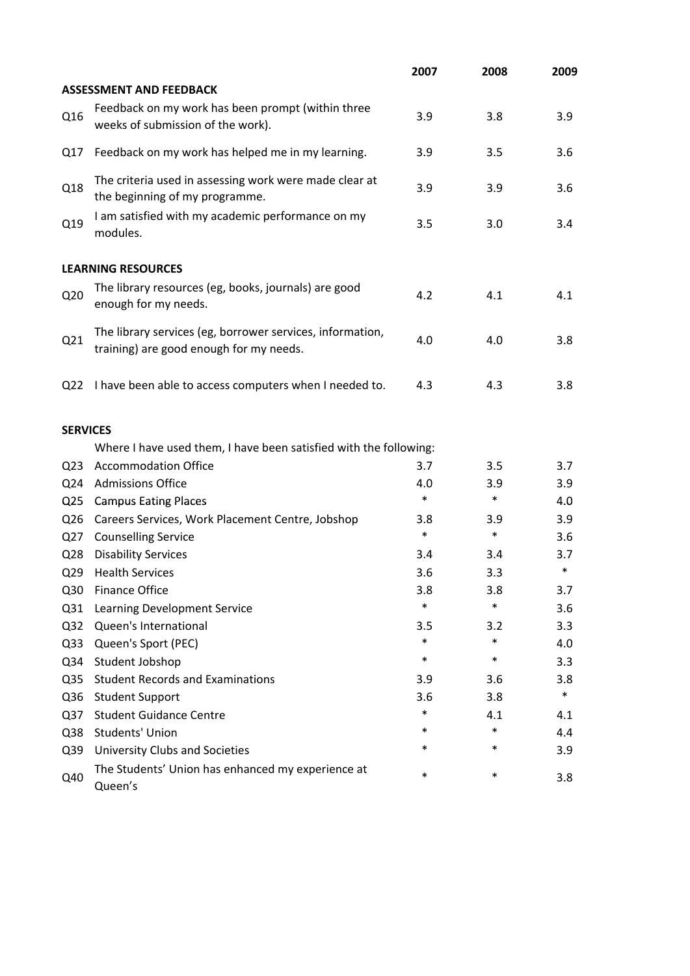|                 |                                                                                                      | 2007   | 2008   | 2009   |
|-----------------|------------------------------------------------------------------------------------------------------|--------|--------|--------|
|                 | <b>ASSESSMENT AND FEEDBACK</b>                                                                       |        |        |        |
| Q16             | Feedback on my work has been prompt (within three<br>weeks of submission of the work).               | 3.9    | 3.8    | 3.9    |
| Q17             | Feedback on my work has helped me in my learning.                                                    | 3.9    | 3.5    | 3.6    |
| Q18             | The criteria used in assessing work were made clear at<br>the beginning of my programme.             | 3.9    | 3.9    | 3.6    |
| Q19             | I am satisfied with my academic performance on my<br>modules.                                        | 3.5    | 3.0    | 3.4    |
|                 | <b>LEARNING RESOURCES</b>                                                                            |        |        |        |
| Q <sub>20</sub> | The library resources (eg, books, journals) are good<br>enough for my needs.                         | 4.2    | 4.1    | 4.1    |
| Q21             | The library services (eg, borrower services, information,<br>training) are good enough for my needs. | 4.0    | 4.0    | 3.8    |
| Q <sub>22</sub> | I have been able to access computers when I needed to.                                               | 4.3    | 4.3    | 3.8    |
| <b>SERVICES</b> |                                                                                                      |        |        |        |
|                 | Where I have used them, I have been satisfied with the following:                                    |        |        |        |
| Q <sub>23</sub> | <b>Accommodation Office</b>                                                                          | 3.7    | 3.5    | 3.7    |
| Q <sub>24</sub> | <b>Admissions Office</b>                                                                             | 4.0    | 3.9    | 3.9    |
| Q <sub>25</sub> | <b>Campus Eating Places</b>                                                                          | $\ast$ | $\ast$ | 4.0    |
| Q <sub>26</sub> | Careers Services, Work Placement Centre, Jobshop                                                     | 3.8    | 3.9    | 3.9    |
| Q27             | <b>Counselling Service</b>                                                                           | $\ast$ | $\ast$ | 3.6    |
| Q <sub>28</sub> | <b>Disability Services</b>                                                                           | 3.4    | 3.4    | 3.7    |
| Q <sub>29</sub> | <b>Health Services</b>                                                                               | 3.6    | 3.3    | $\ast$ |
| Q30             | <b>Finance Office</b>                                                                                | 3.8    | 3.8    | 3.7    |
| Q <sub>31</sub> | Learning Development Service                                                                         | $\ast$ | $\ast$ | 3.6    |
| Q <sub>32</sub> | Queen's International                                                                                | 3.5    | 3.2    | 3.3    |
| Q <sub>33</sub> | Queen's Sport (PEC)                                                                                  | $\ast$ | $\ast$ | 4.0    |
| Q34             | Student Jobshop                                                                                      | $\ast$ | $\ast$ | 3.3    |
| Q <sub>35</sub> | <b>Student Records and Examinations</b>                                                              | 3.9    | 3.6    | 3.8    |
| Q36             | <b>Student Support</b>                                                                               | 3.6    | 3.8    | $\ast$ |
| Q <sub>37</sub> | <b>Student Guidance Centre</b>                                                                       | $\ast$ | 4.1    | 4.1    |
| Q38             | Students' Union                                                                                      | *      | $\ast$ | 4.4    |
| Q39             | <b>University Clubs and Societies</b>                                                                | *      | *      | 3.9    |
| Q40             | The Students' Union has enhanced my experience at<br>Queen's                                         | $\ast$ | $\ast$ | 3.8    |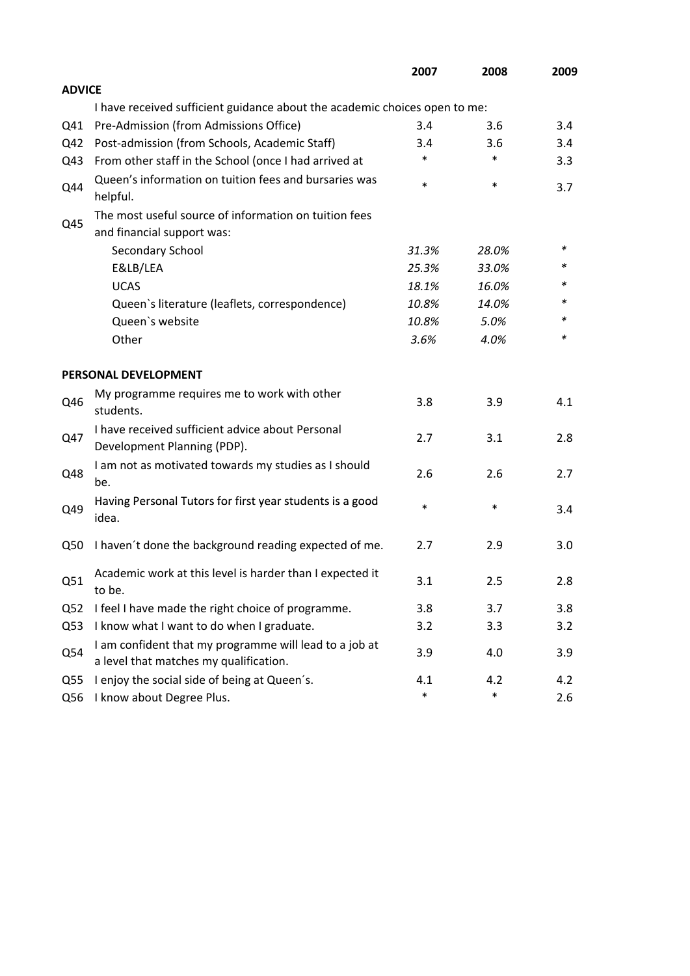|                 |                                                                                                  | 2007   | 2008   | 2009 |
|-----------------|--------------------------------------------------------------------------------------------------|--------|--------|------|
| <b>ADVICE</b>   |                                                                                                  |        |        |      |
|                 | I have received sufficient guidance about the academic choices open to me:                       |        |        |      |
| Q41             | Pre-Admission (from Admissions Office)                                                           | 3.4    | 3.6    | 3.4  |
| Q42             | Post-admission (from Schools, Academic Staff)                                                    | 3.4    | 3.6    | 3.4  |
| Q43             | From other staff in the School (once I had arrived at                                            | *      | $\ast$ | 3.3  |
| Q44             | Queen's information on tuition fees and bursaries was<br>helpful.                                | $\ast$ | $\ast$ | 3.7  |
|                 | The most useful source of information on tuition fees                                            |        |        |      |
| Q45             | and financial support was:                                                                       |        |        |      |
|                 | Secondary School                                                                                 | 31.3%  | 28.0%  | ∗    |
|                 | E&LB/LEA                                                                                         | 25.3%  | 33.0%  | *    |
|                 | <b>UCAS</b>                                                                                      | 18.1%  | 16.0%  |      |
|                 | Queen's literature (leaflets, correspondence)                                                    | 10.8%  | 14.0%  | *    |
|                 | Queen's website                                                                                  | 10.8%  | 5.0%   | *    |
|                 | Other                                                                                            | 3.6%   | 4.0%   | *    |
|                 | PERSONAL DEVELOPMENT                                                                             |        |        |      |
| Q46             | My programme requires me to work with other<br>students.                                         | 3.8    | 3.9    | 4.1  |
| Q47             | I have received sufficient advice about Personal<br>Development Planning (PDP).                  | 2.7    | 3.1    | 2.8  |
| Q48             | I am not as motivated towards my studies as I should<br>be.                                      | 2.6    | 2.6    | 2.7  |
| Q49             | Having Personal Tutors for first year students is a good<br>idea.                                | $\ast$ | $\ast$ | 3.4  |
| Q50             | I haven't done the background reading expected of me.                                            | 2.7    | 2.9    | 3.0  |
| Q51             | Academic work at this level is harder than I expected it<br>to be.                               | 3.1    | 2.5    | 2.8  |
| Q <sub>52</sub> | I feel I have made the right choice of programme.                                                | 3.8    | 3.7    | 3.8  |
| Q53             | I know what I want to do when I graduate.                                                        | 3.2    | 3.3    | 3.2  |
| Q54             | I am confident that my programme will lead to a job at<br>a level that matches my qualification. | 3.9    | 4.0    | 3.9  |
| Q55             | I enjoy the social side of being at Queen's.                                                     | 4.1    | 4.2    | 4.2  |
| Q56             | I know about Degree Plus.                                                                        | $\ast$ | $\ast$ | 2.6  |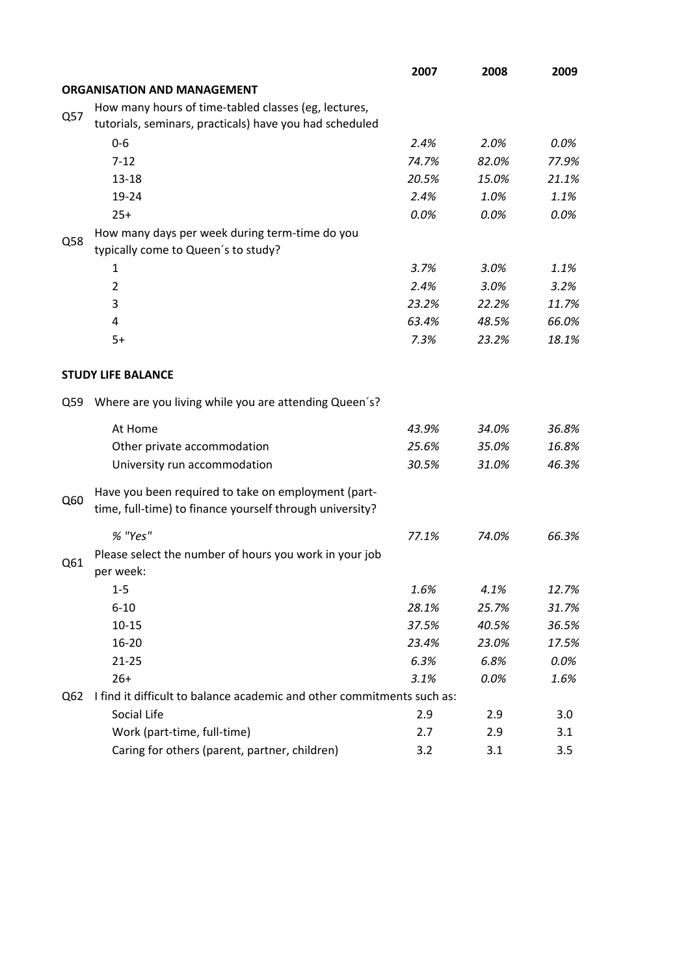|     |                                                                                                                 | 2007  | 2008  | 2009  |
|-----|-----------------------------------------------------------------------------------------------------------------|-------|-------|-------|
|     | <b>ORGANISATION AND MANAGEMENT</b>                                                                              |       |       |       |
|     | How many hours of time-tabled classes (eg, lectures,                                                            |       |       |       |
| Q57 | tutorials, seminars, practicals) have you had scheduled                                                         |       |       |       |
|     | $0 - 6$                                                                                                         | 2.4%  | 2.0%  | 0.0%  |
|     | $7 - 12$                                                                                                        | 74.7% | 82.0% | 77.9% |
|     | $13 - 18$                                                                                                       | 20.5% | 15.0% | 21.1% |
|     | 19-24                                                                                                           | 2.4%  | 1.0%  | 1.1%  |
|     | $25+$                                                                                                           | 0.0%  | 0.0%  | 0.0%  |
|     | How many days per week during term-time do you                                                                  |       |       |       |
| Q58 | typically come to Queen's to study?                                                                             |       |       |       |
|     | 1                                                                                                               | 3.7%  | 3.0%  | 1.1%  |
|     | $\overline{2}$                                                                                                  | 2.4%  | 3.0%  | 3.2%  |
|     | 3                                                                                                               | 23.2% | 22.2% | 11.7% |
|     | 4                                                                                                               | 63.4% | 48.5% | 66.0% |
|     | $5+$                                                                                                            | 7.3%  | 23.2% | 18.1% |
|     |                                                                                                                 |       |       |       |
|     | <b>STUDY LIFE BALANCE</b>                                                                                       |       |       |       |
| Q59 | Where are you living while you are attending Queen's?                                                           |       |       |       |
|     | At Home                                                                                                         | 43.9% | 34.0% | 36.8% |
|     | Other private accommodation                                                                                     | 25.6% | 35.0% | 16.8% |
|     | University run accommodation                                                                                    | 30.5% | 31.0% | 46.3% |
| Q60 | Have you been required to take on employment (part-<br>time, full-time) to finance yourself through university? |       |       |       |
|     | % "Yes"                                                                                                         | 77.1% | 74.0% | 66.3% |
|     |                                                                                                                 |       |       |       |
| Q61 | Please select the number of hours you work in your job<br>per week:                                             |       |       |       |
|     | $1-5$                                                                                                           | 1.6%  | 4.1%  | 12.7% |
|     | $6 - 10$                                                                                                        | 28.1% | 25.7% | 31.7% |
|     | $10 - 15$                                                                                                       | 37.5% | 40.5% | 36.5% |
|     | 16-20                                                                                                           | 23.4% | 23.0% | 17.5% |
|     | $21 - 25$                                                                                                       | 6.3%  | 6.8%  | 0.0%  |
|     | $26+$                                                                                                           | 3.1%  | 0.0%  | 1.6%  |
| Q62 | I find it difficult to balance academic and other commitments such as:                                          |       |       |       |
|     | Social Life                                                                                                     | 2.9   | 2.9   | 3.0   |
|     | Work (part-time, full-time)                                                                                     | 2.7   | 2.9   | 3.1   |
|     | Caring for others (parent, partner, children)                                                                   | 3.2   | 3.1   | 3.5   |